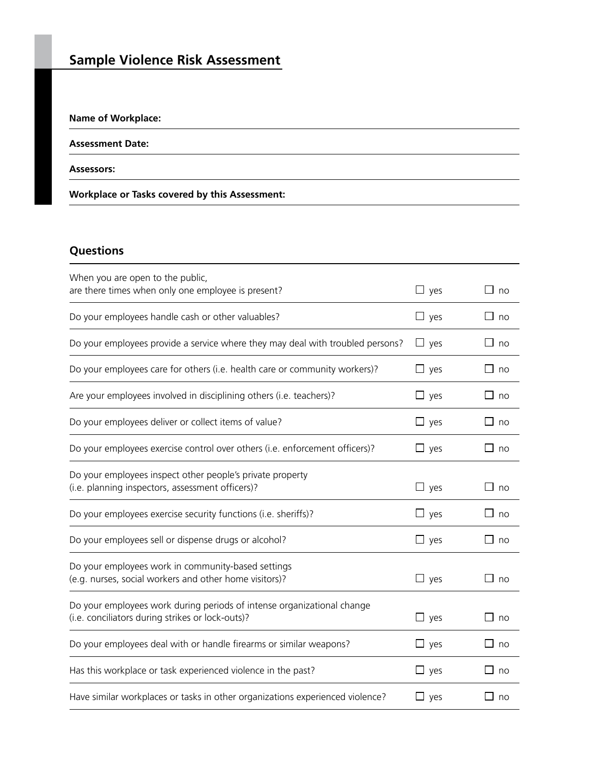# **Sample Violence Risk Assessment**

## **Name of Workplace:**

#### **Assessment Date:**

#### **Assessors:**

## **Workplace or Tasks covered by this Assessment:**

# **Questions**

| When you are open to the public,                                                                                           |            |                    |
|----------------------------------------------------------------------------------------------------------------------------|------------|--------------------|
| are there times when only one employee is present?                                                                         | $\Box$ yes | $\square$ no       |
| Do your employees handle cash or other valuables?                                                                          | $\Box$ yes | $\Box$ no          |
| Do your employees provide a service where they may deal with troubled persons?                                             | $\Box$ yes | ∟ no               |
| Do your employees care for others (i.e. health care or community workers)?                                                 | $\Box$ yes | $\square$ no       |
| Are your employees involved in disciplining others (i.e. teachers)?                                                        | $\Box$ yes | $\Box$ no          |
| Do your employees deliver or collect items of value?                                                                       | $\Box$ yes | $\Box$ no          |
| Do your employees exercise control over others (i.e. enforcement officers)?                                                | $\Box$ yes | $\square$ no       |
| Do your employees inspect other people's private property<br>(i.e. planning inspectors, assessment officers)?              | $\Box$ yes | $\square$ no       |
| Do your employees exercise security functions (i.e. sheriffs)?                                                             | $\Box$ yes | $\perp$<br>no      |
| Do your employees sell or dispense drugs or alcohol?                                                                       | $\Box$ yes | $\Box$ no          |
| Do your employees work in community-based settings<br>(e.g. nurses, social workers and other home visitors)?               | $\Box$ yes | $\square$ no       |
| Do your employees work during periods of intense organizational change<br>(i.e. conciliators during strikes or lock-outs)? | $\Box$ yes | $\square$ no       |
| Do your employees deal with or handle firearms or similar weapons?                                                         | $\Box$ yes | П<br>no            |
| Has this workplace or task experienced violence in the past?                                                               | $\Box$ yes | $\square$ no       |
| Have similar workplaces or tasks in other organizations experienced violence?                                              | $\Box$ yes | $\mathbf{1}$<br>no |